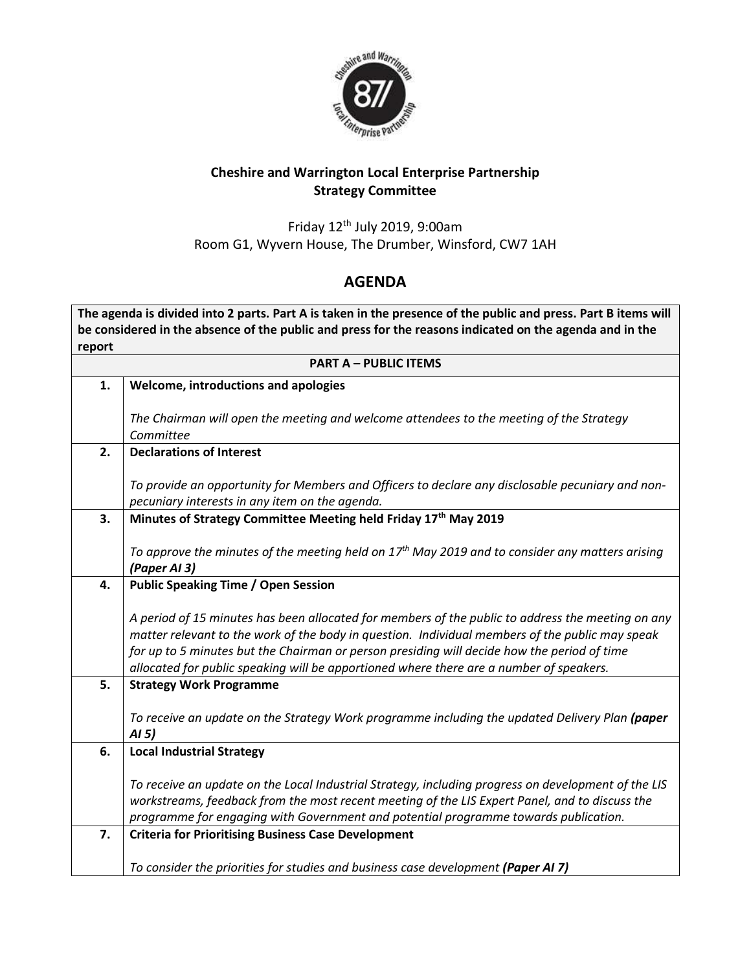

## **Cheshire and Warrington Local Enterprise Partnership Strategy Committee**

Friday 12th July 2019, 9:00am Room G1, Wyvern House, The Drumber, Winsford, CW7 1AH

## **AGENDA**

**The agenda is divided into 2 parts. Part A is taken in the presence of the public and press. Part B items will be considered in the absence of the public and press for the reasons indicated on the agenda and in the report**

| <b>PART A - PUBLIC ITEMS</b> |                                                                                                      |
|------------------------------|------------------------------------------------------------------------------------------------------|
| 1.                           | Welcome, introductions and apologies                                                                 |
|                              |                                                                                                      |
|                              | The Chairman will open the meeting and welcome attendees to the meeting of the Strategy<br>Committee |
| 2.                           | <b>Declarations of Interest</b>                                                                      |
|                              |                                                                                                      |
|                              | To provide an opportunity for Members and Officers to declare any disclosable pecuniary and non-     |
|                              | pecuniary interests in any item on the agenda.                                                       |
| 3.                           | Minutes of Strategy Committee Meeting held Friday 17th May 2019                                      |
|                              | To approve the minutes of the meeting held on $17th$ May 2019 and to consider any matters arising    |
|                              | (Paper AI 3)                                                                                         |
| 4.                           | <b>Public Speaking Time / Open Session</b>                                                           |
|                              |                                                                                                      |
|                              | A period of 15 minutes has been allocated for members of the public to address the meeting on any    |
|                              | matter relevant to the work of the body in question. Individual members of the public may speak      |
|                              | for up to 5 minutes but the Chairman or person presiding will decide how the period of time          |
|                              | allocated for public speaking will be apportioned where there are a number of speakers.              |
| 5.                           | <b>Strategy Work Programme</b>                                                                       |
|                              | To receive an update on the Strategy Work programme including the updated Delivery Plan (paper       |
|                              | AI <sub>5</sub>                                                                                      |
| 6.                           | <b>Local Industrial Strategy</b>                                                                     |
|                              |                                                                                                      |
|                              | To receive an update on the Local Industrial Strategy, including progress on development of the LIS  |
|                              | workstreams, feedback from the most recent meeting of the LIS Expert Panel, and to discuss the       |
|                              | programme for engaging with Government and potential programme towards publication.                  |
| 7.                           | <b>Criteria for Prioritising Business Case Development</b>                                           |
|                              | To consider the priorities for studies and business case development (Paper AI 7)                    |
|                              |                                                                                                      |